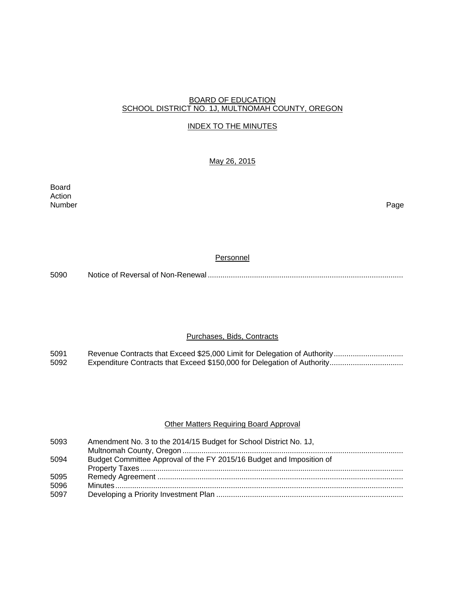#### BOARD OF EDUCATION SCHOOL DISTRICT NO. 1J, MULTNOMAH COUNTY, OREGON

#### INDEX TO THE MINUTES

# May 26, 2015

Board Action Number Page

#### **Personnel**

5090 Notice of Reversal of Non-Renewal .............................................................................................

# Purchases, Bids, Contracts

5091 Revenue Contracts that Exceed \$25,000 Limit for Delegation of Authority ................................ 5092 Expenditure Contracts that Exceed \$150,000 for Delegation of Authority..................................

#### **Other Matters Requiring Board Approval**

| 5093 | Amendment No. 3 to the 2014/15 Budget for School District No. 1J,    |
|------|----------------------------------------------------------------------|
|      |                                                                      |
| 5094 | Budget Committee Approval of the FY 2015/16 Budget and Imposition of |
|      |                                                                      |
| 5095 |                                                                      |
| 5096 |                                                                      |
| 5097 |                                                                      |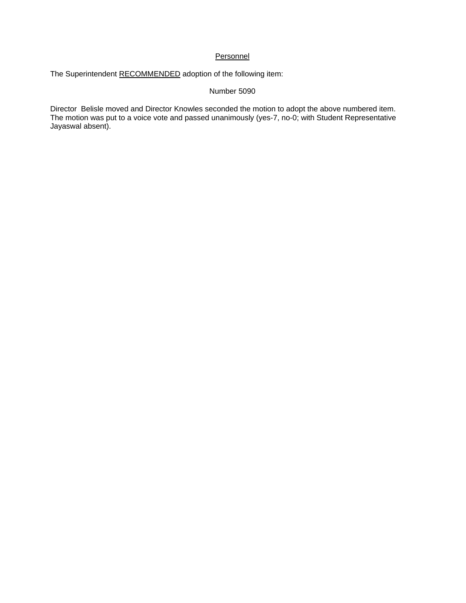# **Personnel**

The Superintendent RECOMMENDED adoption of the following item:

#### Number 5090

Director Belisle moved and Director Knowles seconded the motion to adopt the above numbered item. The motion was put to a voice vote and passed unanimously (yes-7, no-0; with Student Representative Jayaswal absent).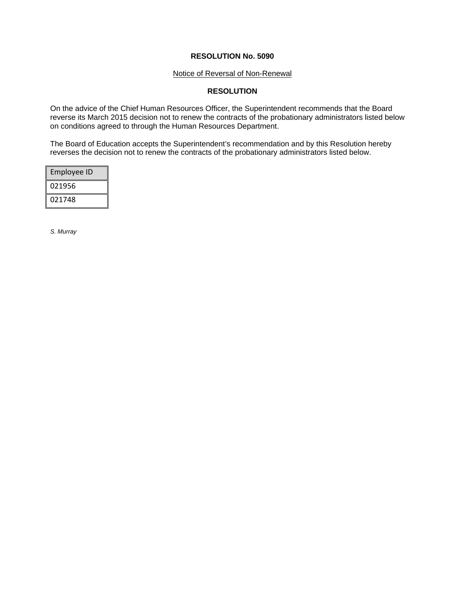#### Notice of Reversal of Non-Renewal

# **RESOLUTION**

On the advice of the Chief Human Resources Officer, the Superintendent recommends that the Board reverse its March 2015 decision not to renew the contracts of the probationary administrators listed below on conditions agreed to through the Human Resources Department.

The Board of Education accepts the Superintendent's recommendation and by this Resolution hereby reverses the decision not to renew the contracts of the probationary administrators listed below.

| Employee ID |
|-------------|
| 021956      |
| 021748      |

*S. Murray*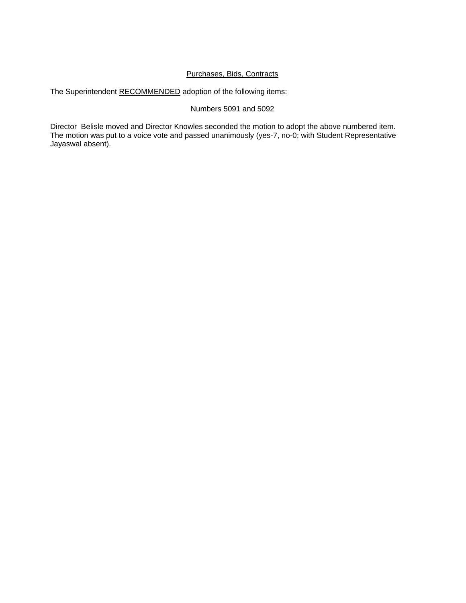# Purchases, Bids, Contracts

The Superintendent RECOMMENDED adoption of the following items:

# Numbers 5091 and 5092

Director Belisle moved and Director Knowles seconded the motion to adopt the above numbered item. The motion was put to a voice vote and passed unanimously (yes-7, no-0; with Student Representative Jayaswal absent).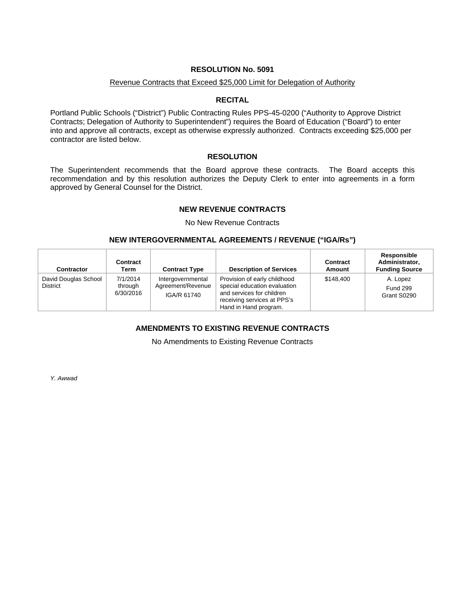#### Revenue Contracts that Exceed \$25,000 Limit for Delegation of Authority

#### **RECITAL**

Portland Public Schools ("District") Public Contracting Rules PPS-45-0200 ("Authority to Approve District Contracts; Delegation of Authority to Superintendent") requires the Board of Education ("Board") to enter into and approve all contracts, except as otherwise expressly authorized. Contracts exceeding \$25,000 per contractor are listed below.

#### **RESOLUTION**

The Superintendent recommends that the Board approve these contracts. The Board accepts this recommendation and by this resolution authorizes the Deputy Clerk to enter into agreements in a form approved by General Counsel for the District.

# **NEW REVENUE CONTRACTS**

No New Revenue Contracts

#### **NEW INTERGOVERNMENTAL AGREEMENTS / REVENUE ("IGA/Rs")**

| Contractor                              | <b>Contract</b><br>Term          | <b>Contract Type</b>                                  | <b>Description of Services</b>                                                                                                                    | Contract<br>Amount | <b>Responsible</b><br>Administrator,<br><b>Funding Source</b> |
|-----------------------------------------|----------------------------------|-------------------------------------------------------|---------------------------------------------------------------------------------------------------------------------------------------------------|--------------------|---------------------------------------------------------------|
| David Douglas School<br><b>District</b> | 7/1/2014<br>through<br>6/30/2016 | Intergovernmental<br>Agreement/Revenue<br>IGA/R 61740 | Provision of early childhood<br>special education evaluation<br>and services for children<br>receiving services at PPS's<br>Hand in Hand program. | \$148,400          | A. Lopez<br><b>Fund 299</b><br>Grant S0290                    |

# **AMENDMENTS TO EXISTING REVENUE CONTRACTS**

No Amendments to Existing Revenue Contracts

*Y. Awwad*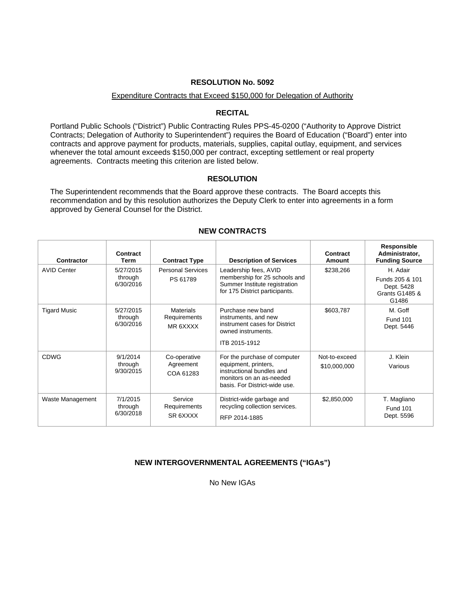#### Expenditure Contracts that Exceed \$150,000 for Delegation of Authority

# **RECITAL**

Portland Public Schools ("District") Public Contracting Rules PPS-45-0200 ("Authority to Approve District Contracts; Delegation of Authority to Superintendent") requires the Board of Education ("Board") enter into contracts and approve payment for products, materials, supplies, capital outlay, equipment, and services whenever the total amount exceeds \$150,000 per contract, excepting settlement or real property agreements. Contracts meeting this criterion are listed below.

#### **RESOLUTION**

The Superintendent recommends that the Board approve these contracts. The Board accepts this recommendation and by this resolution authorizes the Deputy Clerk to enter into agreements in a form approved by General Counsel for the District.

| Contractor          | Contract<br><b>Term</b>           | <b>Contract Type</b>                         | <b>Description of Services</b>                                                                                                                 | Contract<br>Amount            | Responsible<br>Administrator,<br><b>Funding Source</b>                          |
|---------------------|-----------------------------------|----------------------------------------------|------------------------------------------------------------------------------------------------------------------------------------------------|-------------------------------|---------------------------------------------------------------------------------|
| <b>AVID Center</b>  | 5/27/2015<br>through<br>6/30/2016 | <b>Personal Services</b><br>PS 61789         | Leadership fees, AVID<br>membership for 25 schools and<br>Summer Institute registration<br>for 175 District participants.                      | \$238,266                     | H. Adair<br>Funds 205 & 101<br>Dept. 5428<br><b>Grants G1485 &amp;</b><br>G1486 |
| <b>Tigard Music</b> | 5/27/2015<br>through<br>6/30/2016 | <b>Materials</b><br>Requirements<br>MR 6XXXX | Purchase new band<br>instruments, and new<br>instrument cases for District<br>owned instruments.<br>ITB 2015-1912                              | \$603,787                     | M. Goff<br><b>Fund 101</b><br>Dept. 5446                                        |
| <b>CDWG</b>         | 9/1/2014<br>through<br>9/30/2015  | Co-operative<br>Agreement<br>COA 61283       | For the purchase of computer<br>equipment, printers,<br>instructional bundles and<br>monitors on an as-needed<br>basis. For District-wide use. | Not-to-exceed<br>\$10,000,000 | J. Klein<br>Various                                                             |
| Waste Management    | 7/1/2015<br>through<br>6/30/2018  | Service<br>Requirements<br>SR 6XXXX          | District-wide garbage and<br>recycling collection services.<br>RFP 2014-1885                                                                   | \$2,850,000                   | T. Magliano<br><b>Fund 101</b><br>Dept. 5596                                    |

#### **NEW CONTRACTS**

# **NEW INTERGOVERNMENTAL AGREEMENTS ("IGAs")**

No New IGAs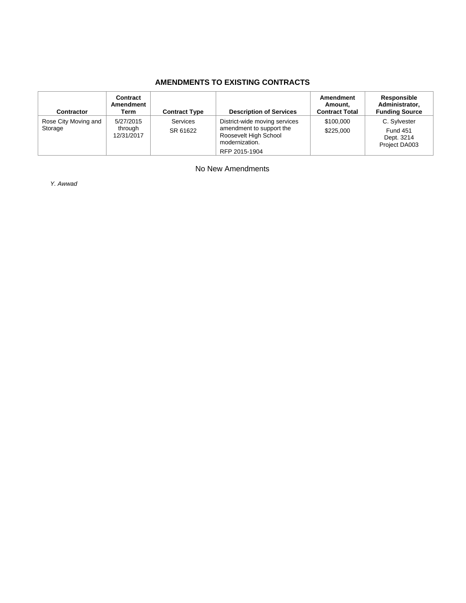# **AMENDMENTS TO EXISTING CONTRACTS**

| <b>Contractor</b>               | Contract<br>Amendment<br>Term      | <b>Contract Type</b> | <b>Description of Services</b>                                                                                        | Amendment<br>Amount,<br><b>Contract Total</b> | <b>Responsible</b><br>Administrator,<br><b>Funding Source</b>  |
|---------------------------------|------------------------------------|----------------------|-----------------------------------------------------------------------------------------------------------------------|-----------------------------------------------|----------------------------------------------------------------|
| Rose City Moving and<br>Storage | 5/27/2015<br>through<br>12/31/2017 | Services<br>SR 61622 | District-wide moving services<br>amendment to support the<br>Roosevelt High School<br>modernization.<br>RFP 2015-1904 | \$100,000<br>\$225,000                        | C. Sylvester<br><b>Fund 451</b><br>Dept. 3214<br>Project DA003 |

No New Amendments

*Y. Awwad*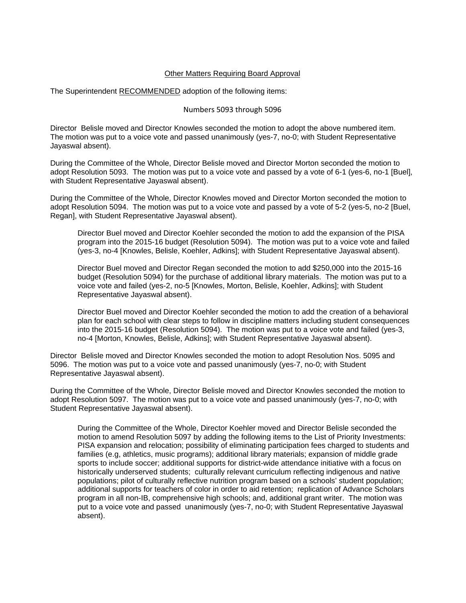#### Other Matters Requiring Board Approval

The Superintendent RECOMMENDED adoption of the following items:

#### Numbers 5093 through 5096

Director Belisle moved and Director Knowles seconded the motion to adopt the above numbered item. The motion was put to a voice vote and passed unanimously (yes-7, no-0; with Student Representative Jayaswal absent).

During the Committee of the Whole, Director Belisle moved and Director Morton seconded the motion to adopt Resolution 5093. The motion was put to a voice vote and passed by a vote of 6-1 (yes-6, no-1 [Buel], with Student Representative Jayaswal absent).

During the Committee of the Whole, Director Knowles moved and Director Morton seconded the motion to adopt Resolution 5094. The motion was put to a voice vote and passed by a vote of 5-2 (yes-5, no-2 [Buel, Regan], with Student Representative Jayaswal absent).

Director Buel moved and Director Koehler seconded the motion to add the expansion of the PISA program into the 2015-16 budget (Resolution 5094). The motion was put to a voice vote and failed (yes-3, no-4 [Knowles, Belisle, Koehler, Adkins]; with Student Representative Jayaswal absent).

Director Buel moved and Director Regan seconded the motion to add \$250,000 into the 2015-16 budget (Resolution 5094) for the purchase of additional library materials. The motion was put to a voice vote and failed (yes-2, no-5 [Knowles, Morton, Belisle, Koehler, Adkins]; with Student Representative Jayaswal absent).

Director Buel moved and Director Koehler seconded the motion to add the creation of a behavioral plan for each school with clear steps to follow in discipline matters including student consequences into the 2015-16 budget (Resolution 5094). The motion was put to a voice vote and failed (yes-3, no-4 [Morton, Knowles, Belisle, Adkins]; with Student Representative Jayaswal absent).

Director Belisle moved and Director Knowles seconded the motion to adopt Resolution Nos. 5095 and 5096. The motion was put to a voice vote and passed unanimously (yes-7, no-0; with Student Representative Jayaswal absent).

During the Committee of the Whole, Director Belisle moved and Director Knowles seconded the motion to adopt Resolution 5097. The motion was put to a voice vote and passed unanimously (yes-7, no-0; with Student Representative Jayaswal absent).

During the Committee of the Whole, Director Koehler moved and Director Belisle seconded the motion to amend Resolution 5097 by adding the following items to the List of Priority Investments: PISA expansion and relocation; possibility of eliminating participation fees charged to students and families (e.g, athletics, music programs); additional library materials; expansion of middle grade sports to include soccer; additional supports for district-wide attendance initiative with a focus on historically underserved students; culturally relevant curriculum reflecting indigenous and native populations; pilot of culturally reflective nutrition program based on a schools' student population; additional supports for teachers of color in order to aid retention; replication of Advance Scholars program in all non-IB, comprehensive high schools; and, additional grant writer. The motion was put to a voice vote and passed unanimously (yes-7, no-0; with Student Representative Jayaswal absent).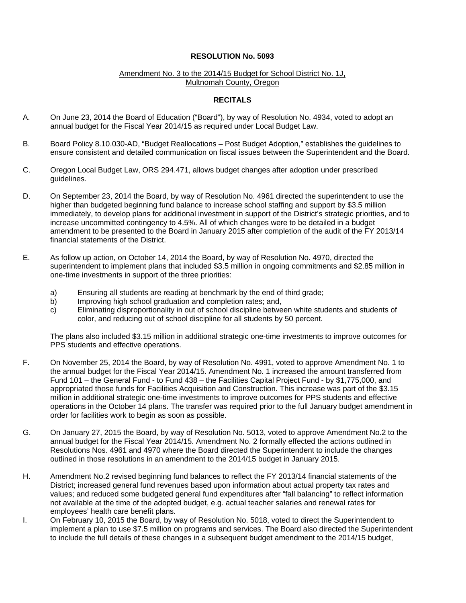#### Amendment No. 3 to the 2014/15 Budget for School District No. 1J, Multnomah County, Oregon

# **RECITALS**

- A. On June 23, 2014 the Board of Education ("Board"), by way of Resolution No. 4934, voted to adopt an annual budget for the Fiscal Year 2014/15 as required under Local Budget Law.
- B. Board Policy 8.10.030-AD, "Budget Reallocations Post Budget Adoption," establishes the guidelines to ensure consistent and detailed communication on fiscal issues between the Superintendent and the Board.
- C. Oregon Local Budget Law, ORS 294.471, allows budget changes after adoption under prescribed guidelines.
- D. On September 23, 2014 the Board, by way of Resolution No. 4961 directed the superintendent to use the higher than budgeted beginning fund balance to increase school staffing and support by \$3.5 million immediately, to develop plans for additional investment in support of the District's strategic priorities, and to increase uncommitted contingency to 4.5%. All of which changes were to be detailed in a budget amendment to be presented to the Board in January 2015 after completion of the audit of the FY 2013/14 financial statements of the District.
- E. As follow up action, on October 14, 2014 the Board, by way of Resolution No. 4970, directed the superintendent to implement plans that included \$3.5 million in ongoing commitments and \$2.85 million in one-time investments in support of the three priorities:
	- a) Ensuring all students are reading at benchmark by the end of third grade;<br>b) Improving high school graduation and completion rates; and,
	- Improving high school graduation and completion rates; and,
	- c) Eliminating disproportionality in out of school discipline between white students and students of color, and reducing out of school discipline for all students by 50 percent.

The plans also included \$3.15 million in additional strategic one-time investments to improve outcomes for PPS students and effective operations.

- F. On November 25, 2014 the Board, by way of Resolution No. 4991, voted to approve Amendment No. 1 to the annual budget for the Fiscal Year 2014/15. Amendment No. 1 increased the amount transferred from Fund 101 – the General Fund - to Fund 438 – the Facilities Capital Project Fund - by \$1,775,000, and appropriated those funds for Facilities Acquisition and Construction. This increase was part of the \$3.15 million in additional strategic one-time investments to improve outcomes for PPS students and effective operations in the October 14 plans. The transfer was required prior to the full January budget amendment in order for facilities work to begin as soon as possible.
- G. On January 27, 2015 the Board, by way of Resolution No. 5013, voted to approve Amendment No.2 to the annual budget for the Fiscal Year 2014/15. Amendment No. 2 formally effected the actions outlined in Resolutions Nos. 4961 and 4970 where the Board directed the Superintendent to include the changes outlined in those resolutions in an amendment to the 2014/15 budget in January 2015.
- H. Amendment No.2 revised beginning fund balances to reflect the FY 2013/14 financial statements of the District; increased general fund revenues based upon information about actual property tax rates and values; and reduced some budgeted general fund expenditures after "fall balancing" to reflect information not available at the time of the adopted budget, e.g. actual teacher salaries and renewal rates for employees' health care benefit plans.
- I. On February 10, 2015 the Board, by way of Resolution No. 5018, voted to direct the Superintendent to implement a plan to use \$7.5 million on programs and services. The Board also directed the Superintendent to include the full details of these changes in a subsequent budget amendment to the 2014/15 budget,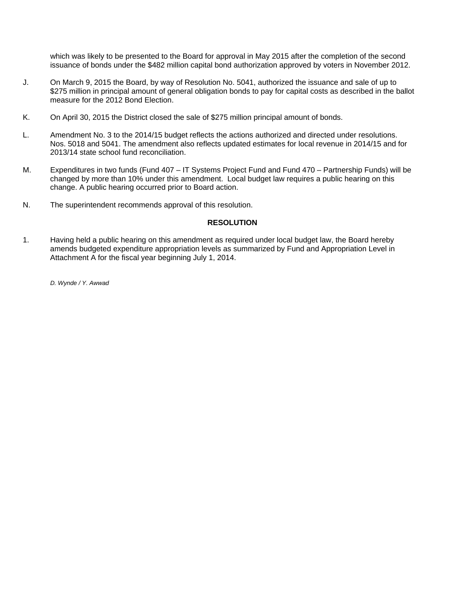which was likely to be presented to the Board for approval in May 2015 after the completion of the second issuance of bonds under the \$482 million capital bond authorization approved by voters in November 2012.

- J. On March 9, 2015 the Board, by way of Resolution No. 5041, authorized the issuance and sale of up to \$275 million in principal amount of general obligation bonds to pay for capital costs as described in the ballot measure for the 2012 Bond Election.
- K. On April 30, 2015 the District closed the sale of \$275 million principal amount of bonds.
- L. Amendment No. 3 to the 2014/15 budget reflects the actions authorized and directed under resolutions. Nos. 5018 and 5041. The amendment also reflects updated estimates for local revenue in 2014/15 and for 2013/14 state school fund reconciliation.
- M. Expenditures in two funds (Fund 407 IT Systems Project Fund and Fund 470 Partnership Funds) will be changed by more than 10% under this amendment. Local budget law requires a public hearing on this change. A public hearing occurred prior to Board action.
- N. The superintendent recommends approval of this resolution.

#### **RESOLUTION**

1. Having held a public hearing on this amendment as required under local budget law, the Board hereby amends budgeted expenditure appropriation levels as summarized by Fund and Appropriation Level in Attachment A for the fiscal year beginning July 1, 2014.

*D. Wynde / Y. Awwad*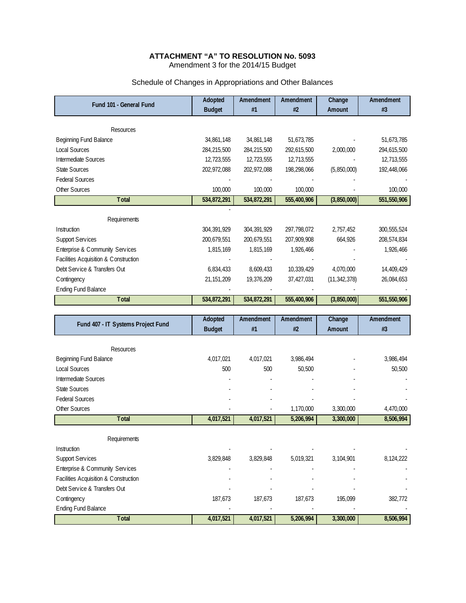#### **ATTACHMENT "A" TO RESOLUTION No. 5093**  Amendment 3 for the 2014/15 Budget

| Fund 101 - General Fund               | Adopted       | Amendment     | Amendment   | Change         | Amendment     |
|---------------------------------------|---------------|---------------|-------------|----------------|---------------|
|                                       | <b>Budget</b> | #1            | #2          | Amount         | #3            |
|                                       |               |               |             |                |               |
| <b>Resources</b>                      |               |               |             |                |               |
| Beginning Fund Balance                | 34,861,148    | 34,861,148    | 51,673,785  |                | 51,673,785    |
| Local Sources                         | 284,215,500   | 284,215,500   | 292,615,500 | 2,000,000      | 294,615,500   |
| Intermediate Sources                  | 12,723,555    | 12,723,555    | 12,713,555  |                | 12,713,555    |
| <b>State Sources</b>                  | 202,972,088   | 202,972,088   | 198,298,066 | (5,850,000)    | 192,448,066   |
| <b>Federal Sources</b>                |               |               |             |                |               |
| Other Sources                         | 100,000       | 100,000       | 100,000     |                | 100,000       |
| <b>T</b> otal                         | 534,872,291   | 534,872,291   | 555,400,906 | (3,850,000)    | 551,550,906   |
|                                       |               |               |             |                |               |
| Requirements                          |               |               |             |                |               |
| Instruction                           | 304, 391, 929 | 304, 391, 929 | 297,798,072 | 2,757,452      | 300, 555, 524 |
| <b>Support Services</b>               | 200,679,551   | 200,679,551   | 207,909,908 | 664,926        | 208,574,834   |
| Enterprise & Community Services       | 1,815,169     | 1,815,169     | 1,926,466   |                | 1,926,466     |
| Facilities Acquisition & Construction |               |               |             |                |               |
| Debt Service & Transfers Out          | 6,834,433     | 8,609,433     | 10,339,429  | 4.070.000      | 14,409,429    |
| C ontingency                          | 21, 151, 209  | 19,376,209    | 37,427,031  | (11, 342, 378) | 26,084,653    |
| <b>Ending Fund Balance</b>            |               |               |             |                |               |
| <b>T</b> otal                         | 534,872,291   | 534,872,291   | 555,400,906 | (3,850,000)    | 551,550,906   |
|                                       |               |               |             |                |               |

# Schedule of Changes in Appropriations and Other Balances

| Fund 407 - IT Systems Project Fund    | Adopted       | Amendment | Amendment | Change    | Amendment |
|---------------------------------------|---------------|-----------|-----------|-----------|-----------|
|                                       | <b>Budget</b> | #1        | #2        | Amount    | #3        |
|                                       |               |           |           |           |           |
| <b>Resources</b>                      |               |           |           |           |           |
| Beginning Fund Balance                | 4,017,021     | 4,017,021 | 3,986,494 |           | 3,986,494 |
| <b>Local Sources</b>                  | 500           | 500       | 50,500    |           | 50,500    |
| Intermediate Sources                  |               |           |           |           |           |
| <b>State Sources</b>                  |               |           |           |           |           |
| <b>Federal Sources</b>                |               |           |           |           |           |
| Other Sources                         |               |           | 1,170,000 | 3,300,000 | 4,470,000 |
| Total                                 | 4,017,521     | 4,017,521 | 5,206,994 | 3,300,000 | 8,506,994 |
|                                       |               |           |           |           |           |
| Requirements                          |               |           |           |           |           |
| Instruction                           |               |           |           |           |           |
| <b>Support Services</b>               | 3,829,848     | 3,829,848 | 5,019,321 | 3,104,901 | 8,124,222 |
| Enterprise & Community Services       |               |           |           |           |           |
| Facilities Acquisition & Construction |               |           |           |           |           |
| Debt Service & Transfers Out          |               |           |           |           |           |
| C ontingency                          | 187,673       | 187,673   | 187,673   | 195,099   | 382,772   |
| <b>Ending Fund Balance</b>            |               |           |           |           |           |
| <b>T</b> otal                         | 4,017,521     | 4,017,521 | 5,206,994 | 3,300,000 | 8,506,994 |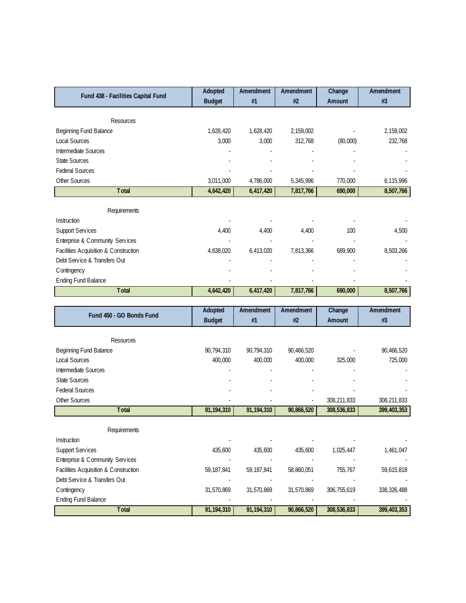| Fund 438 - Facilities Capital Fund         | Adopted       | Amendment    | Amendment<br>#2 | Change      | Amendment     |
|--------------------------------------------|---------------|--------------|-----------------|-------------|---------------|
|                                            | <b>Budget</b> | #1           |                 | Amount      | #3            |
| Resources                                  |               |              |                 |             |               |
| Beginning Fund Balance                     | 1,628,420     | 1,628,420    | 2,159,002       |             | 2,159,002     |
| <b>Local Sources</b>                       | 3,000         | 3,000        | 312,768         | (80,000)    | 232,768       |
| Intermediate Sources                       |               |              |                 |             |               |
| <b>State Sources</b>                       |               |              |                 |             |               |
| <b>Federal Sources</b>                     |               |              |                 |             |               |
| Other Sources                              | 3,011,000     | 4,786,000    | 5,345,996       | 770,000     | 6,115,996     |
| <b>T</b> otal                              | 4,642,420     | 6,417,420    | 7,817,766       | 690,000     | 8,507,766     |
|                                            |               |              |                 |             |               |
| Requirements                               |               |              |                 |             |               |
| Instruction                                |               |              |                 |             |               |
| <b>Support Services</b>                    | 4,400         | 4,400        | 4,400           | 100         | 4,500         |
| Enterprise & Community Services            |               |              |                 |             |               |
| Facilities Acquisition & Construction      | 4,638,020     | 6,413,020    | 7,813,366       | 689,900     | 8,503,266     |
| Debt Service & Transfers Out               |               |              |                 |             |               |
| C ontingency<br><b>Ending Fund Balance</b> |               |              |                 |             |               |
| <b>T</b> otal                              | 4,642,420     | 6,417,420    | 7,817,766       | 690,000     | 8,507,766     |
|                                            |               |              |                 |             |               |
|                                            |               |              |                 |             |               |
|                                            | Adopted       | Amendment    | Amendment       | Change      | Amendment     |
| Fund 450 - GO Bonds Fund                   | <b>Budget</b> | #1           | #2              | Amount      | #3            |
|                                            |               |              |                 |             |               |
| Resources                                  |               |              |                 |             |               |
| Beginning Fund Balance                     | 90,794,310    | 90,794,310   | 90,466,520      |             | 90,466,520    |
| <b>Local Sources</b>                       | 400,000       | 400,000      | 400,000         | 325,000     | 725,000       |
| Intermediate Sources                       |               |              |                 |             |               |
| <b>State Sources</b>                       |               |              |                 |             |               |
| <b>Federal Sources</b>                     |               |              |                 |             |               |
| Other Sources                              |               |              |                 | 308,211,833 | 308,211,833   |
| Total                                      | 91,194,310    | 91,194,310   | 90,866,520      | 308,536,833 | 399,403,353   |
| Requirements                               |               |              |                 |             |               |
| Instruction                                |               |              |                 |             |               |
| <b>Support Services</b>                    | 435,600       | 435,600      | 435,600         | 1,025,447   | 1,461,047     |
| Enterprise & Community Services            |               |              |                 |             |               |
| Facilities Acquisition & Construction      | 59,187,841    | 59, 187, 841 | 58,860,051      | 755,767     | 59,615,818    |
| Debt Service & Transfers Out               |               |              |                 |             |               |
| C ontingency                               | 31,570,869    | 31,570,869   | 31,570,869      | 306,755,619 | 338, 326, 488 |
| <b>Ending Fund Balance</b>                 | 91,194,310    | 91,194,310   |                 |             |               |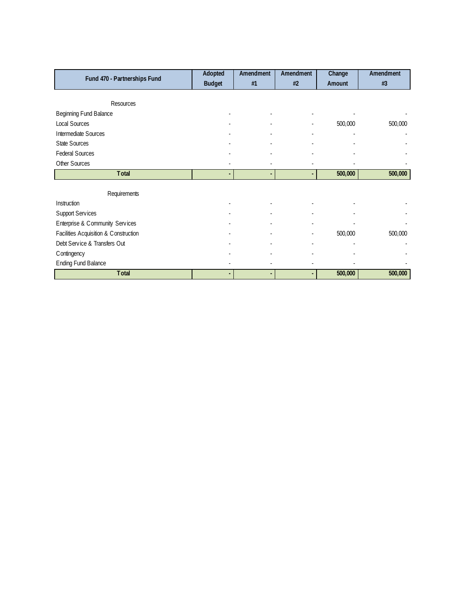| Fund 470 - Partnerships Fund          | Adopted                  | Amendment | <b>Amendment</b> | Change  | Amendment |
|---------------------------------------|--------------------------|-----------|------------------|---------|-----------|
|                                       | <b>Budget</b>            | #1        | #2               | Amount  | #3        |
|                                       |                          |           |                  |         |           |
| <b>Resources</b>                      |                          |           |                  |         |           |
| Beginning Fund Balance                |                          |           |                  |         |           |
| Local Sources                         |                          |           |                  | 500,000 | 500,000   |
| Intermediate Sources                  |                          |           |                  |         |           |
| <b>State Sources</b>                  |                          |           |                  |         |           |
| <b>Federal Sources</b>                |                          |           |                  |         |           |
| Other Sources                         |                          |           |                  |         |           |
| <b>Total</b>                          | $\overline{\phantom{a}}$ |           | ٠                | 500,000 | 500,000   |
|                                       |                          |           |                  |         |           |
| Requirements                          |                          |           |                  |         |           |
| Instruction                           |                          |           |                  |         |           |
| <b>Support Services</b>               |                          |           |                  |         |           |
| Enterprise & Community Services       |                          |           |                  |         |           |
| Facilities Acquisition & Construction |                          |           | ٠                | 500,000 | 500,000   |
| Debt Service & Transfers Out          |                          |           | ٠                |         |           |
| C ontingency                          |                          |           |                  |         |           |
| <b>Ending Fund Balance</b>            |                          |           |                  |         |           |
| <b>Total</b>                          |                          |           |                  | 500,000 | 500,000   |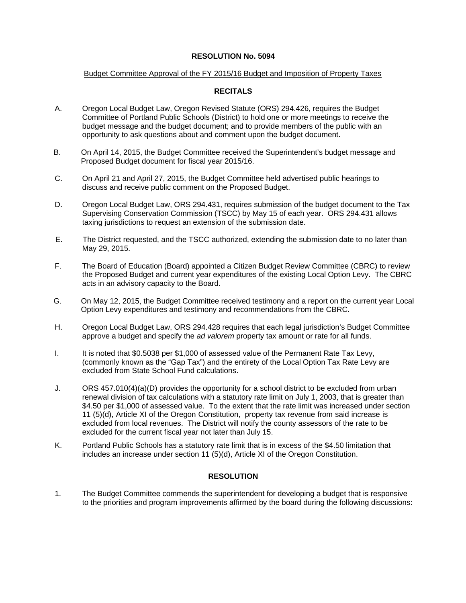## Budget Committee Approval of the FY 2015/16 Budget and Imposition of Property Taxes

# **RECITALS**

- A. Oregon Local Budget Law, Oregon Revised Statute (ORS) 294.426, requires the Budget Committee of Portland Public Schools (District) to hold one or more meetings to receive the budget message and the budget document; and to provide members of the public with an opportunity to ask questions about and comment upon the budget document.
- B. On April 14, 2015, the Budget Committee received the Superintendent's budget message and Proposed Budget document for fiscal year 2015/16.
- C. On April 21 and April 27, 2015, the Budget Committee held advertised public hearings to discuss and receive public comment on the Proposed Budget.
- D. Oregon Local Budget Law, ORS 294.431, requires submission of the budget document to the Tax Supervising Conservation Commission (TSCC) by May 15 of each year. ORS 294.431 allows taxing jurisdictions to request an extension of the submission date.
- E. The District requested, and the TSCC authorized, extending the submission date to no later than May 29, 2015.
- F. The Board of Education (Board) appointed a Citizen Budget Review Committee (CBRC) to review the Proposed Budget and current year expenditures of the existing Local Option Levy. The CBRC acts in an advisory capacity to the Board.
- G. On May 12, 2015, the Budget Committee received testimony and a report on the current year Local Option Levy expenditures and testimony and recommendations from the CBRC.
- H. Oregon Local Budget Law, ORS 294.428 requires that each legal jurisdiction's Budget Committee approve a budget and specify the *ad valorem* property tax amount or rate for all funds.
- I. It is noted that \$0.5038 per \$1,000 of assessed value of the Permanent Rate Tax Levy, (commonly known as the "Gap Tax") and the entirety of the Local Option Tax Rate Levy are excluded from State School Fund calculations.
- J. ORS 457.010(4)(a)(D) provides the opportunity for a school district to be excluded from urban renewal division of tax calculations with a statutory rate limit on July 1, 2003, that is greater than \$4.50 per \$1,000 of assessed value. To the extent that the rate limit was increased under section 11 (5)(d), Article XI of the Oregon Constitution, property tax revenue from said increase is excluded from local revenues. The District will notify the county assessors of the rate to be excluded for the current fiscal year not later than July 15.
- K. Portland Public Schools has a statutory rate limit that is in excess of the \$4.50 limitation that includes an increase under section 11 (5)(d), Article XI of the Oregon Constitution.

# **RESOLUTION**

1. The Budget Committee commends the superintendent for developing a budget that is responsive to the priorities and program improvements affirmed by the board during the following discussions: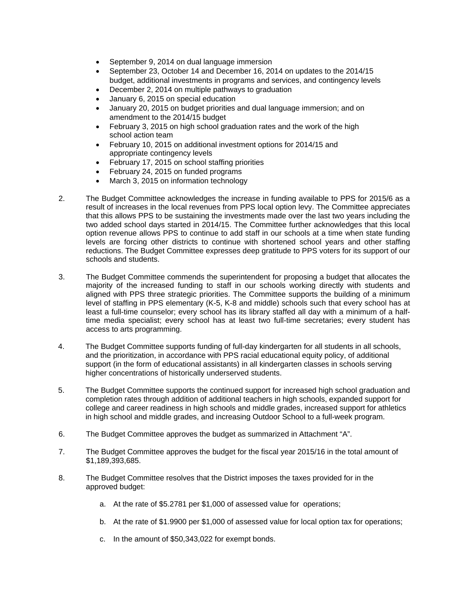- September 9, 2014 on dual language immersion
- September 23, October 14 and December 16, 2014 on updates to the 2014/15 budget, additional investments in programs and services, and contingency levels
- December 2, 2014 on multiple pathways to graduation
- January 6, 2015 on special education
- January 20, 2015 on budget priorities and dual language immersion; and on amendment to the 2014/15 budget
- February 3, 2015 on high school graduation rates and the work of the high school action team
- February 10, 2015 on additional investment options for 2014/15 and appropriate contingency levels
- February 17, 2015 on school staffing priorities
- February 24, 2015 on funded programs
- March 3, 2015 on information technology
- 2. The Budget Committee acknowledges the increase in funding available to PPS for 2015/6 as a result of increases in the local revenues from PPS local option levy. The Committee appreciates that this allows PPS to be sustaining the investments made over the last two years including the two added school days started in 2014/15. The Committee further acknowledges that this local option revenue allows PPS to continue to add staff in our schools at a time when state funding levels are forcing other districts to continue with shortened school years and other staffing reductions. The Budget Committee expresses deep gratitude to PPS voters for its support of our schools and students.
- 3. The Budget Committee commends the superintendent for proposing a budget that allocates the majority of the increased funding to staff in our schools working directly with students and aligned with PPS three strategic priorities. The Committee supports the building of a minimum level of staffing in PPS elementary (K-5, K-8 and middle) schools such that every school has at least a full-time counselor; every school has its library staffed all day with a minimum of a halftime media specialist; every school has at least two full-time secretaries; every student has access to arts programming.
- 4. The Budget Committee supports funding of full-day kindergarten for all students in all schools, and the prioritization, in accordance with PPS racial educational equity policy, of additional support (in the form of educational assistants) in all kindergarten classes in schools serving higher concentrations of historically underserved students.
- 5. The Budget Committee supports the continued support for increased high school graduation and completion rates through addition of additional teachers in high schools, expanded support for college and career readiness in high schools and middle grades, increased support for athletics in high school and middle grades, and increasing Outdoor School to a full-week program.
- 6. The Budget Committee approves the budget as summarized in Attachment "A".
- 7. The Budget Committee approves the budget for the fiscal year 2015/16 in the total amount of \$1,189,393,685.
- 8. The Budget Committee resolves that the District imposes the taxes provided for in the approved budget:
	- a. At the rate of \$5.2781 per \$1,000 of assessed value for operations;
	- b. At the rate of \$1.9900 per \$1,000 of assessed value for local option tax for operations;
	- c. In the amount of \$50,343,022 for exempt bonds.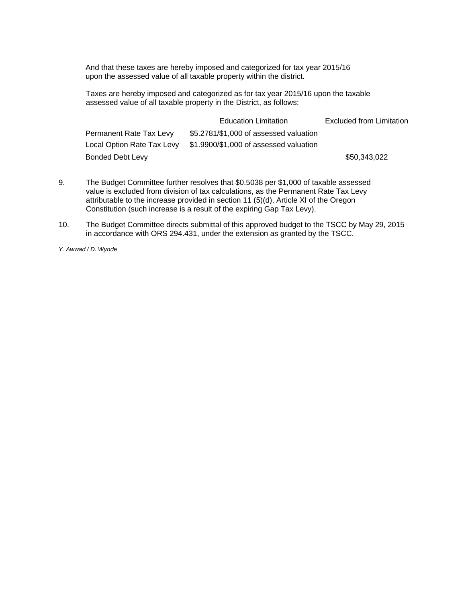And that these taxes are hereby imposed and categorized for tax year 2015/16 upon the assessed value of all taxable property within the district.

Taxes are hereby imposed and categorized as for tax year 2015/16 upon the taxable assessed value of all taxable property in the District, as follows:

|                            | <b>Education Limitation</b>            | <b>Excluded from Limitation</b> |
|----------------------------|----------------------------------------|---------------------------------|
| Permanent Rate Tax Levy    | \$5.2781/\$1,000 of assessed valuation |                                 |
| Local Option Rate Tax Levy | \$1.9900/\$1,000 of assessed valuation |                                 |
| Bonded Debt Levy           |                                        | \$50.343.022                    |

- 9. The Budget Committee further resolves that \$0.5038 per \$1,000 of taxable assessed value is excluded from division of tax calculations, as the Permanent Rate Tax Levy attributable to the increase provided in section 11 (5)(d), Article XI of the Oregon Constitution (such increase is a result of the expiring Gap Tax Levy).
- 10. The Budget Committee directs submittal of this approved budget to the TSCC by May 29, 2015 in accordance with ORS 294.431, under the extension as granted by the TSCC.

*Y. Awwad / D. Wynd*e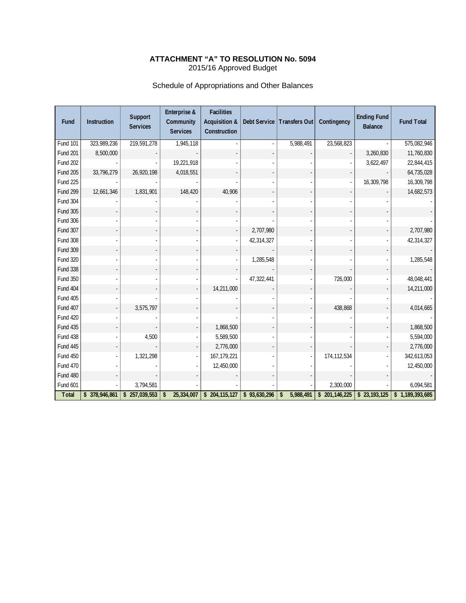# **ATTACHMENT "A" TO RESOLUTION No. 5094**  2015/16 Approved Budget

# Schedule of Appropriations and Other Balances

| Fund            | <b>Instruction</b> | Support<br><b>Services</b> | Enterprise &<br>Community<br><b>Services</b> | <b>Facilities</b><br><b>Acquisition &amp;</b><br>Construction |              | Debt Service   Transfers Out | Contingency   | <b>Ending Fund</b><br><b>Balance</b> | <b>Fund Total</b> |
|-----------------|--------------------|----------------------------|----------------------------------------------|---------------------------------------------------------------|--------------|------------------------------|---------------|--------------------------------------|-------------------|
| <b>Fund 101</b> | 323,989,236        | 219,591,278                | 1,945,118                                    |                                                               |              | 5,988,491                    | 23,568,823    |                                      | 575,082,946       |
| <b>Fund 201</b> | 8,500,000          |                            |                                              |                                                               |              |                              |               | 3,260,830                            | 11,760,830        |
| <b>Fund 202</b> |                    |                            | 19,221,918                                   |                                                               |              |                              |               | 3,622,497                            | 22,844,415        |
| <b>Fund 205</b> | 33,796,279         | 26,920,198                 | 4,018,551                                    |                                                               |              |                              |               |                                      | 64,735,028        |
| <b>Fund 225</b> |                    |                            |                                              |                                                               |              |                              |               | 16,309,798                           | 16,309,798        |
| <b>Fund 299</b> | 12,661,346         | 1,831,901                  | 148,420                                      | 40,906                                                        |              |                              |               |                                      | 14,682,573        |
| <b>Fund 304</b> |                    |                            |                                              |                                                               |              |                              |               |                                      |                   |
| <b>Fund 305</b> |                    |                            |                                              |                                                               |              |                              |               |                                      |                   |
| <b>Fund 306</b> |                    |                            |                                              |                                                               |              |                              |               |                                      |                   |
| Fund 307        |                    |                            |                                              |                                                               | 2,707,980    |                              |               |                                      | 2,707,980         |
| <b>Fund 308</b> |                    |                            |                                              |                                                               | 42,314,327   |                              |               |                                      | 42,314,327        |
| Fund 309        |                    |                            |                                              |                                                               |              |                              |               |                                      |                   |
| <b>Fund 320</b> |                    |                            |                                              |                                                               | 1,285,548    |                              |               |                                      | 1,285,548         |
| <b>Fund 338</b> |                    |                            |                                              |                                                               |              |                              |               |                                      |                   |
| <b>Fund 350</b> |                    |                            |                                              |                                                               | 47,322,441   |                              | 726,000       |                                      | 48,048,441        |
| <b>Fund 404</b> |                    |                            |                                              | 14,211,000                                                    |              |                              |               |                                      | 14,211,000        |
| <b>Fund 405</b> |                    |                            |                                              |                                                               |              |                              |               |                                      |                   |
| Fund 407        |                    | 3,575,797                  |                                              |                                                               |              |                              | 438,868       |                                      | 4,014,665         |
| <b>Fund 420</b> |                    |                            |                                              |                                                               |              |                              |               |                                      |                   |
| <b>Fund 435</b> |                    |                            |                                              | 1,868,500                                                     |              |                              |               |                                      | 1,868,500         |
| <b>Fund 438</b> |                    | 4,500                      |                                              | 5,589,500                                                     |              |                              |               |                                      | 5,594,000         |
| Fund 445        |                    |                            |                                              | 2,776,000                                                     |              |                              |               |                                      | 2,776,000         |
| <b>Fund 450</b> |                    | 1,321,298                  |                                              | 167, 179, 221                                                 |              |                              | 174, 112, 534 |                                      | 342,613,053       |
| <b>Fund 470</b> |                    |                            |                                              | 12,450,000                                                    |              |                              |               |                                      | 12,450,000        |
| <b>Fund 480</b> |                    |                            |                                              |                                                               |              |                              |               |                                      |                   |
| Fund 601        |                    | 3,794,581                  |                                              |                                                               |              |                              | 2,300,000     |                                      | 6,094,581         |
| <b>Total</b>    | \$378,946,861      | \$257,039,553              | 25,334,007<br>\$                             | \$ 204, 115, 127                                              | \$93,630,296 | 5,988,491<br>\$              | \$201,146,225 | \$23,193,125                         | \$1,189,393,685   |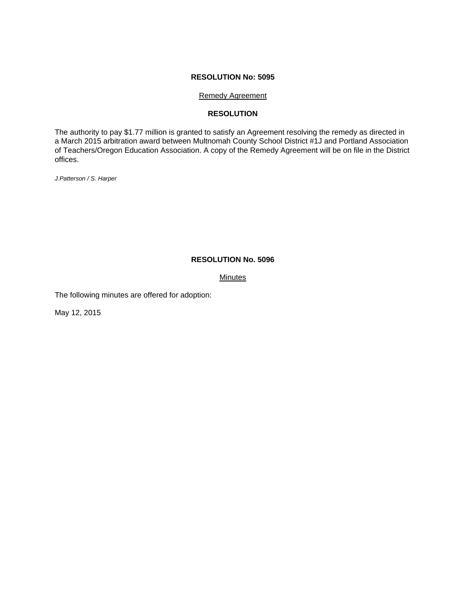#### Remedy Agreement

# **RESOLUTION**

The authority to pay \$1.77 million is granted to satisfy an Agreement resolving the remedy as directed in a March 2015 arbitration award between Multnomah County School District #1J and Portland Association of Teachers/Oregon Education Association. A copy of the Remedy Agreement will be on file in the District offices.

*J.Patterson / S. Harper* 

# **RESOLUTION No. 5096**

# **Minutes**

The following minutes are offered for adoption:

May 12, 2015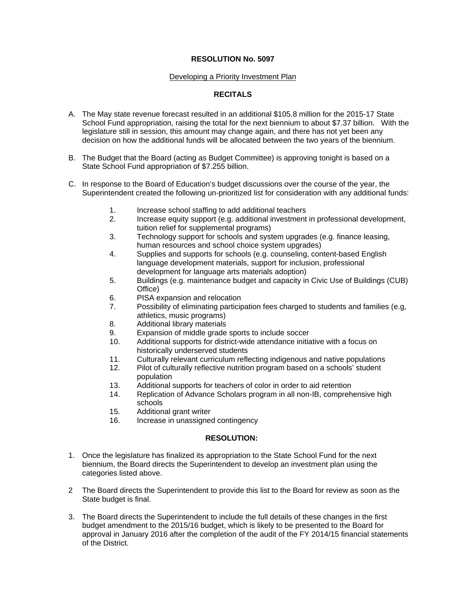#### Developing a Priority Investment Plan

# **RECITALS**

- A. The May state revenue forecast resulted in an additional \$105.8 million for the 2015-17 State School Fund appropriation, raising the total for the next biennium to about \$7.37 billion. With the legislature still in session, this amount may change again, and there has not yet been any decision on how the additional funds will be allocated between the two years of the biennium.
- B. The Budget that the Board (acting as Budget Committee) is approving tonight is based on a State School Fund appropriation of \$7.255 billion.
- C. In response to the Board of Education's budget discussions over the course of the year, the Superintendent created the following un-prioritized list for consideration with any additional funds:
	- 1. Increase school staffing to add additional teachers
	- 2. Increase equity support (e.g. additional investment in professional development, tuition relief for supplemental programs)
	- 3. Technology support for schools and system upgrades (e.g. finance leasing, human resources and school choice system upgrades)
	- 4. Supplies and supports for schools (e.g. counseling, content-based English language development materials, support for inclusion, professional development for language arts materials adoption)
	- 5. Buildings (e.g. maintenance budget and capacity in Civic Use of Buildings (CUB) Office)
	- 6. PISA expansion and relocation
	- 7. Possibility of eliminating participation fees charged to students and families (e.g, athletics, music programs)
	- 8. Additional library materials
	- 9. Expansion of middle grade sports to include soccer
	- 10. Additional supports for district-wide attendance initiative with a focus on historically underserved students
	- 11. Culturally relevant curriculum reflecting indigenous and native populations
	- 12. Pilot of culturally reflective nutrition program based on a schools' student population
	- 13. Additional supports for teachers of color in order to aid retention
	- 14. Replication of Advance Scholars program in all non-IB, comprehensive high schools
	- 15. Additional grant writer
	- 16. Increase in unassigned contingency

#### **RESOLUTION:**

- 1. Once the legislature has finalized its appropriation to the State School Fund for the next biennium, the Board directs the Superintendent to develop an investment plan using the categories listed above.
- 2 The Board directs the Superintendent to provide this list to the Board for review as soon as the State budget is final.
- 3. The Board directs the Superintendent to include the full details of these changes in the first budget amendment to the 2015/16 budget, which is likely to be presented to the Board for approval in January 2016 after the completion of the audit of the FY 2014/15 financial statements of the District.